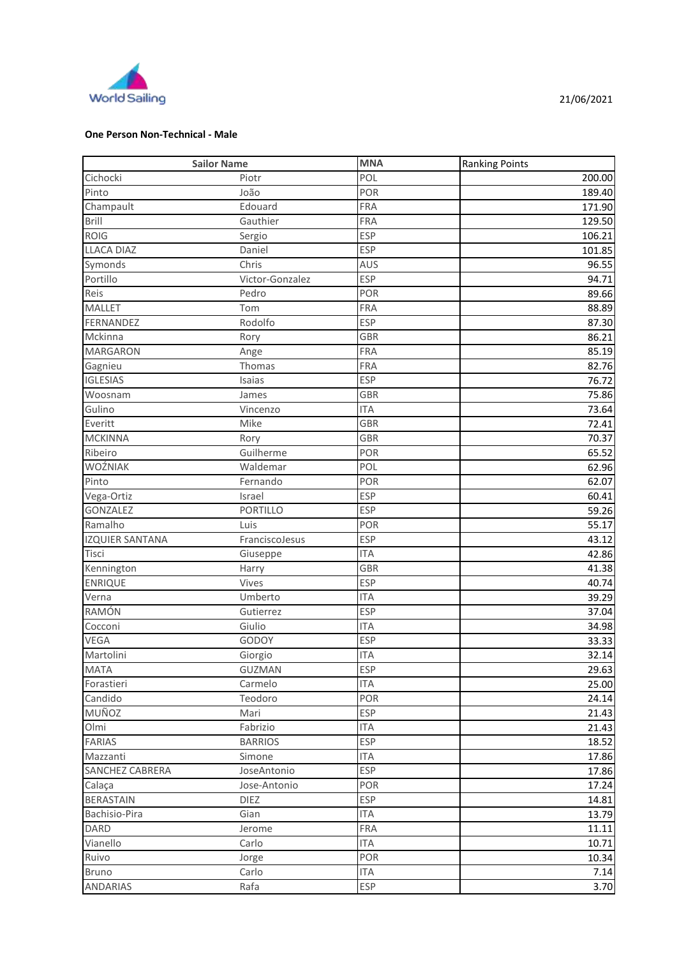

## **One Person Non-Technical - Male**

| <b>Sailor Name</b>     |                 | <b>MNA</b> | <b>Ranking Points</b> |
|------------------------|-----------------|------------|-----------------------|
| Cichocki               | Piotr           | POL        | 200.00                |
| Pinto                  | João            | POR        | 189.40                |
| Champault              | Edouard         | <b>FRA</b> | 171.90                |
| Brill                  | Gauthier        | FRA        | 129.50                |
| <b>ROIG</b>            | Sergio          | <b>ESP</b> | 106.21                |
| <b>LLACA DIAZ</b>      | Daniel          | <b>ESP</b> | 101.85                |
| Symonds                | Chris           | <b>AUS</b> | 96.55                 |
| Portillo               | Victor-Gonzalez | <b>ESP</b> | 94.71                 |
| Reis                   | Pedro           | POR        | 89.66                 |
| <b>MALLET</b>          | Tom             | <b>FRA</b> | 88.89                 |
| FERNANDEZ              | Rodolfo         | <b>ESP</b> | 87.30                 |
| Mckinna                | Rory            | <b>GBR</b> | 86.21                 |
| <b>MARGARON</b>        | Ange            | <b>FRA</b> | 85.19                 |
| Gagnieu                | Thomas          | <b>FRA</b> | 82.76                 |
| <b>IGLESIAS</b>        | Isaias          | <b>ESP</b> | 76.72                 |
| Woosnam                | James           | <b>GBR</b> | 75.86                 |
| Gulino                 | Vincenzo        | <b>ITA</b> | 73.64                 |
| Everitt                | Mike            | <b>GBR</b> | 72.41                 |
| <b>MCKINNA</b>         | Rory            | <b>GBR</b> | 70.37                 |
| Ribeiro                | Guilherme       | POR        | 65.52                 |
| WOŹNIAK                | Waldemar        | POL        | 62.96                 |
| Pinto                  | Fernando        | POR        | 62.07                 |
| Vega-Ortiz             | Israel          | <b>ESP</b> | 60.41                 |
| <b>GONZALEZ</b>        | PORTILLO        | <b>ESP</b> | 59.26                 |
| Ramalho                | Luis            | POR        | 55.17                 |
| <b>IZQUIER SANTANA</b> | FranciscoJesus  | <b>ESP</b> | 43.12                 |
| Tisci                  | Giuseppe        | <b>ITA</b> | 42.86                 |
| Kennington             | Harry           | <b>GBR</b> | 41.38                 |
| <b>ENRIQUE</b>         | Vives           | <b>ESP</b> | 40.74                 |
| Verna                  | Umberto         | <b>ITA</b> | 39.29                 |
| RAMÓN                  | Gutierrez       | <b>ESP</b> | 37.04                 |
| Cocconi                | Giulio          | <b>ITA</b> | 34.98                 |
| <b>VEGA</b>            | GODOY           | <b>ESP</b> | 33.33                 |
| Martolini              | Giorgio         | <b>ITA</b> | 32.14                 |
| <b>MATA</b>            | <b>GUZMAN</b>   | <b>ESP</b> | 29.63                 |
| Forastieri             | Carmelo         | <b>ITA</b> | 25.00                 |
| Candido                | Teodoro         | POR        | 24.14                 |
| MUÑOZ                  | Mari            | <b>ESP</b> | 21.43                 |
| Olmi                   | Fabrizio        | <b>ITA</b> | 21.43                 |
| <b>FARIAS</b>          | <b>BARRIOS</b>  | <b>ESP</b> | 18.52                 |
| Mazzanti               | Simone          | <b>ITA</b> | 17.86                 |
| SANCHEZ CABRERA        | JoseAntonio     | <b>ESP</b> | 17.86                 |
| Calaça                 | Jose-Antonio    | POR        | 17.24                 |
| <b>BERASTAIN</b>       | <b>DIEZ</b>     | <b>ESP</b> | 14.81                 |
| Bachisio-Pira          | Gian            | <b>ITA</b> | 13.79                 |
| <b>DARD</b>            | Jerome          | <b>FRA</b> | 11.11                 |
| Vianello               | Carlo           | <b>ITA</b> | 10.71                 |
| Ruivo                  | Jorge           | POR        | 10.34                 |
| <b>Bruno</b>           | Carlo           | <b>ITA</b> | 7.14                  |
| <b>ANDARIAS</b>        | Rafa            | ESP        | 3.70                  |
|                        |                 |            |                       |